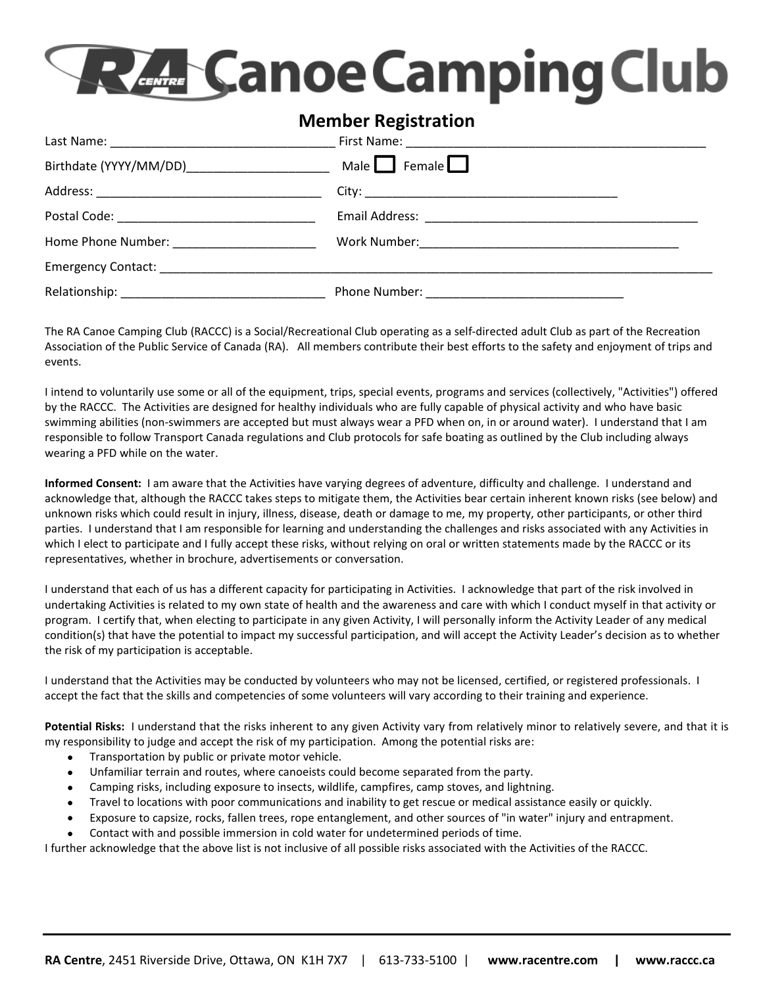## **RAMCanoe Camping Club**

## **Member Registration**

|                                                                                                                                                                                                                                | Male $\Box$ Female $\Box$ |
|--------------------------------------------------------------------------------------------------------------------------------------------------------------------------------------------------------------------------------|---------------------------|
|                                                                                                                                                                                                                                |                           |
|                                                                                                                                                                                                                                |                           |
| Home Phone Number: North States and States and States and States and States and States and States and States and States and States and States and States and States and States and States and States and States and States and |                           |
|                                                                                                                                                                                                                                |                           |
|                                                                                                                                                                                                                                |                           |

The RA Canoe Camping Club (RACCC) is a Social/Recreational Club operating as a self-directed adult Club as part of the Recreation Association of the Public Service of Canada (RA). All members contribute their best efforts to the safety and enjoyment of trips and events.

I intend to voluntarily use some or all of the equipment, trips, special events, programs and services (collectively, "Activities") offered by the RACCC. The Activities are designed for healthy individuals who are fully capable of physical activity and who have basic swimming abilities (non-swimmers are accepted but must always wear a PFD when on, in or around water). I understand that I am responsible to follow Transport Canada regulations and Club protocols for safe boating as outlined by the Club including always wearing a PFD while on the water.

**Informed Consent:** I am aware that the Activities have varying degrees of adventure, difficulty and challenge. I understand and acknowledge that, although the RACCC takes steps to mitigate them, the Activities bear certain inherent known risks (see below) and unknown risks which could result in injury, illness, disease, death or damage to me, my property, other participants, or other third parties. I understand that I am responsible for learning and understanding the challenges and risks associated with any Activities in which I elect to participate and I fully accept these risks, without relying on oral or written statements made by the RACCC or its representatives, whether in brochure, advertisements or conversation.

I understand that each of us has a different capacity for participating in Activities. I acknowledge that part of the risk involved in undertaking Activities is related to my own state of health and the awareness and care with which I conduct myself in that activity or program. I certify that, when electing to participate in any given Activity, I will personally inform the Activity Leader of any medical condition(s) that have the potential to impact my successful participation, and will accept the Activity Leader's decision as to whether the risk of my participation is acceptable.

I understand that the Activities may be conducted by volunteers who may not be licensed, certified, or registered professionals. I accept the fact that the skills and competencies of some volunteers will vary according to their training and experience.

Potential Risks: I understand that the risks inherent to any given Activity vary from relatively minor to relatively severe, and that it is my responsibility to judge and accept the risk of my participation. Among the potential risks are:

- Transportation by public or private motor vehicle.
- Unfamiliar terrain and routes, where canoeists could become separated from the party.
- Camping risks, including exposure to insects, wildlife, campfires, camp stoves, and lightning.
- Travel to locations with poor communications and inability to get rescue or medical assistance easily or quickly.
- Exposure to capsize, rocks, fallen trees, rope entanglement, and other sources of "in water" injury and entrapment.
- Contact with and possible immersion in cold water for undetermined periods of time.

I further acknowledge that the above list is not inclusive of all possible risks associated with the Activities of the RACCC.